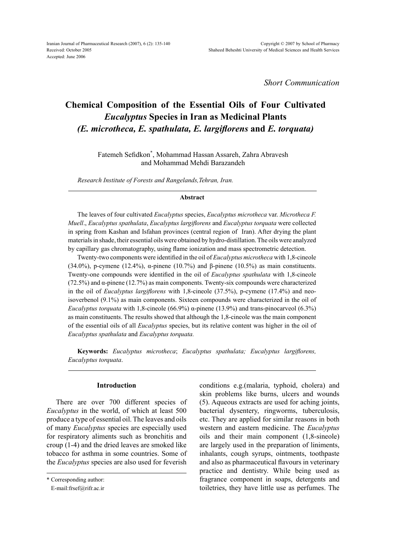*Short Communication*

# **Chemical Composition of the Essential Oils of Four Cultivated** *Eucalyptus* **Species in Iran as Medicinal Plants** *(E. microtheca, E. spathulata, E. largiflorens* **and** *E. torquata)*

Fatemeh Sefidkon\* , Mohammad Hassan Assareh, Zahra Abravesh and Mohammad Mehdi Barazandeh

*Research Institute of Forests and Rangelands,Tehran, Iran.*

## **Abstract**

The leaves of four cultivated *Eucalyptus* species, *Eucalyptus microtheca* var. *Microtheca F. Muell*., *Eucalyptus spathulata*, *Eucalyptus largiflorens* and *Eucalyptus torquata* were collected in spring from Kashan and Isfahan provinces (central region of Iran). After drying the plant materials in shade, their essential oils were obtained by hydro-distillation. The oils were analyzed by capillary gas chromatography, using flame ionization and mass spectrometric detection.

Twenty-two components were identified in the oil of *Eucalyptus microtheca* with 1,8-cineole (34.0%), p-cymene (12.4%), α-pinene (10.7%) and β-pinene (10.5%) as main constituents. Twenty-one compounds were identified in the oil of *Eucalyptus spathulata* with 1,8-cineole ( $72.5\%$ ) and  $\alpha$ -pinene (12.7%) as main components. Twenty-six compounds were characterized in the oil of *Eucalyptus largiflorens* with 1,8-cineole (37.5%), p-cymene (17.4%) and neoisoverbenol (9.1%) as main components. Sixteen compounds were characterized in the oil of *Eucalyptus torquata* with 1,8-cineole (66.9%) α-pinene (13.9%) and trans-pinocarveol (6.3%) as main constituents. The results showed that although the 1,8-cineole was the main component of the essential oils of all *Eucalyptus* species, but its relative content was higher in the oil of *Eucalyptus spathulata* and *Eucalyptus torquata.*

**Keywords:** *Eucalyptus microtheca*; *Eucalyptus spathulata; Eucalyptus largiflorens, Eucalyptus torquata*.

# **Introduction**

There are over 700 different species of *Eucalyptus* in the world, of which at least 500 produce a type of essential oil. The leaves and oils of many *Eucalyptus* species are especially used for respiratory aliments such as bronchitis and croup (1-4) and the dried leaves are smoked like tobacco for asthma in some countries. Some of the *Eucalyptus* species are also used for feverish conditions e.g.(malaria, typhoid, cholera) and skin problems like burns, ulcers and wounds (5). Aqueous extracts are used for aching joints, bacterial dysentery, ringworms, tuberculosis, etc. They are applied for similar reasons in both western and eastern medicine. The *Eucalyptus*  oils and their main component (1,8-sineole) are largely used in the preparation of liniments, inhalants, cough syrups, ointments, toothpaste and also as pharmaceutical flavours in veterinary practice and dentistry. While being used as fragrance component in soaps, detergents and toiletries, they have little use as perfumes. The

<sup>\*</sup> Corresponding author:

E-mail:frsef@rifr.ac.ir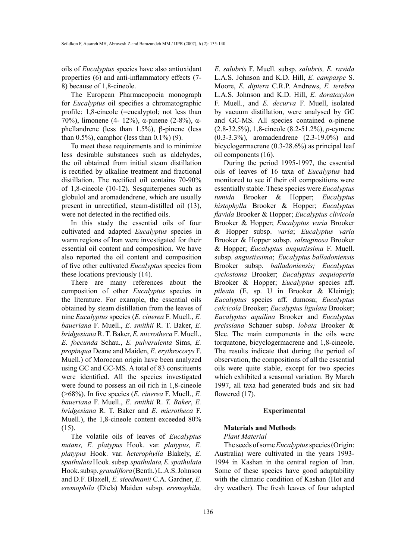oils of *Eucalyptus* species have also antioxidant properties (6) and anti-inflammatory effects (7- 8) because of 1,8-cineole.

The European Pharmacopoeia monograph for *Eucalyptus* oil specifies a chromatographic profile: 1,8-cineole (=eucalyptol; not less than 70%), limonene (4- 12%), α-pinene (2-8%), αphellandrene (less than 1.5%), β-pinene (less than  $0.5\%$ ), camphor (less than  $0.1\%$ ) (9).

To meet these requirements and to minimize less desirable substances such as aldehydes, the oil obtained from initial steam distillation is rectified by alkaline treatment and fractional distillation. The rectified oil contains 70-90% of 1,8-cineole (10-12). Sesquiterpenes such as globulol and aromadendrene, which are usually present in unrectified, steam-distilled oil (13), were not detected in the rectified oils.

In this study the essential oils of four cultivated and adapted *Eucalyptus* species in warm regions of Iran were investigated for their essential oil content and composition. We have also reported the oil content and composition of five other cultivated *Eucalyptus* species from these locations previously (14).

There are many references about the composition of other *Eucalyptus* species in the literature. For example, the essential oils obtained by steam distillation from the leaves of nine *Eucalyptus* species (*E. cinerea* F. Muell., *E. baueriana* F. Muell., *E. smithii* R. T. Baker, *E. bridgesiana* R. T. Baker, *E. microtheca* F. Muell., *E. foecunda* Schau., *E. pulverulenta* Sims, *E. propinqua* Deane and Maiden, *E. erythrocorys* F. Muell.) of Moroccan origin have been analyzed using GC and GC-MS. A total of 83 constituents were identified. All the species investigated were found to possess an oil rich in 1,8-cineole (>68%). In five species (*E. cinerea* F. Muell., *E. baueriana* F. Muell., *E. smithii* R. *T. Baker*, *E. bridgesiana* R. T. Baker and *E. microtheca* F. Muell.), the 1,8-cineole content exceeded 80% (15).

The volatile oils of leaves of *Eucalyptus nutans, E. platypus* Hook. var. *platypus, E. platypus* Hook. var. *heterophylla* Blakely, *E. spathulata* Hook. subsp. *spathulata, E. spathulata* Hook. subsp. *grandiflora* (Benth.) L.A.S. Johnson and D.F. Blaxell, *E. steedmanii* C.A. Gardner, *E. eremophila* (Diels) Maiden subsp. *eremophila,* 

*E. salubris* F. Muell. subsp. *salubris, E. ravida* L.A.S. Johnson and K.D. Hill, *E. campaspe* S. Moore, *E. diptera* C.R.P. Andrews, *E. terebra* L.A.S. Johnson and K.D. Hill, *E. doratoxylon* F. Muell., and *E. decurva* F. Muell, isolated by vacuum distillation, were analysed by GC and GC-MS. All species contained  $α$ -pinene (2.8-32.5%), 1,8-cineole (8.2-51.2%), *p*-cymene (0.3-3.3%), aromadendrene (2.3-19.0%) and bicyclogermacrene (0.3-28.6%) as principal leaf oil components (16).

During the period 1995-1997, the essential oils of leaves of 16 taxa of *Eucalyptus* had monitored to see if their oil compositions were essentially stable. These species were *Eucalyptus tumida* Brooker & Hopper; *Eucalyptus histophylla* Brooker & Hopper; *Eucalyptus flavida* Brooker & Hopper; *Eucalyptus clivicola* Brooker & Hopper; *Eucalyptus varia* Brooker & Hopper subsp. *varia*; *Eucalyptus varia* Brooker & Hopper subsp. *salsuginosa* Brooker & Hopper; *Eucalyptus angustissima* F. Muell. subsp. *angustissima*; *Eucalyptus balladoniensis* Brooker subsp. *balladoniensis; Eucalyptus cyclostoma* Brooker; *Eucalyptus aequioperta* Brooker & Hopper; *Eucalyptus* species aff. *pileata* (E. sp. U in Brooker & Kleinig); *Eucalyptus* species aff. dumosa; *Eucalyptus calcicola* Brooker; *Eucalyptus ligulata* Brooker; *Eucalyptus aquilina* Brooker and *Eucalyptus preissiana* Schauer subsp. *lobata* Brooker & Slee. The main components in the oils were torquatone, bicyclogermacrene and 1,8-cineole. The results indicate that during the period of observation, the compositions of all the essential oils were quite stable, except for two species which exhibited a seasonal variation. By March 1997, all taxa had generated buds and six had flowered  $(17)$ .

#### **Experimental**

# **Materials and Methods**

#### *Plant Material*

The seeds of some *Eucalyptus* species (Origin: Australia) were cultivated in the years 1993- 1994 in Kashan in the central region of Iran. Some of these species have good adaptability with the climatic condition of Kashan (Hot and dry weather). The fresh leaves of four adapted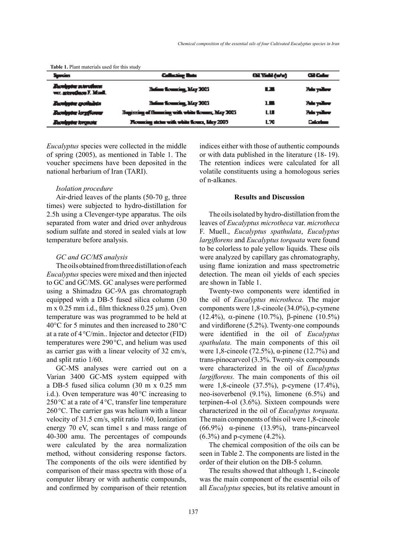| <b>Table 1.</b> I failt materials used for this study |                                                      |           |                   |
|-------------------------------------------------------|------------------------------------------------------|-----------|-------------------|
| مشعرة                                                 | منظ يضطلبه                                           | oten (24) | actor and         |
| <b>Zumigen zurücken</b><br>was asterothern F. Manil.  | Hofine Rouncing, May 2005                            | 13.       | Pain yaikan       |
| <b>Zumboter spotladnin</b>                            | Hofine Rouncing, May 2005                            | 18        | Pain yaikan       |
| <b>Bumbothe local locals</b>                          | Beginning of fluorating with white flowers, May 2005 | LШ        | Pain yaikan       |
| <b>Bumington temperatur</b>                           | Rouncing states with white flows, May 2005           | L70       | <b>Coloring I</b> |

**Table 1.** Plant materials used for this study

*Eucalyptus* species were collected in the middle of spring (2005), as mentioned in Table 1. The voucher specimens have been deposited in the national herbarium of Iran (TARI).

## *Isolation procedure*

Air-dried leaves of the plants (50-70 g, three times) were subjected to hydro-distillation for 2.5h using a Clevenger-type apparatus. The oils separated from water and dried over anhydrous sodium sulfate and stored in sealed vials at low temperature before analysis.

## *GC and GC/MS analysis*

The oils obtained from three distillation of each *Eucalyptus* species were mixed and then injected to GC and GC/MS. GC analyses were performed using a Shimadzu GC-9A gas chromatograph equipped with a DB-5 fused silica column (30  $m \times 0.25$  mm i.d., film thickness 0.25  $\mu$ m). Oven temperature was was programmed to be held at 40°C for 5 minutes and then increased to 280°C at a rate of 4°C/min.. Injector and detector (FID) temperatures were 290°C, and helium was used as carrier gas with a linear velocity of 32 cm/s, and split ratio 1/60.

GC-MS analyses were carried out on a Varian 3400 GC-MS system equipped with a DB-5 fused silica column (30 m x 0.25 mm i.d.). Oven temperature was 40°C increasing to  $250\textdegree$ C at a rate of  $4\textdegree$ C, transfer line temperature 260°C. The carrier gas was helium with a linear velocity of 31.5 cm/s, split ratio 1/60, Ionization energy 70 eV, scan time1 s and mass range of 40-300 amu. The percentages of compounds were calculated by the area normalization method, without considering response factors. The components of the oils were identified by comparison of their mass spectra with those of a computer library or with authentic compounds, and confirmed by comparison of their retention indices either with those of authentic compounds or with data published in the literature (18- 19). The retention indices were calculated for all volatile constituents using a homologous series of n-alkanes.

## **Results and Discussion**

The oils isolated by hydro-distillation from the leaves of *Eucalyptus microtheca* var. *microtheca*  F. Muell., *Eucalyptus spathulata*, *Eucalyptus largiflorens* and *Eucalyptus torquata* were found to be colorless to pale yellow liquids. These oils were analyzed by capillary gas chromatography, using flame ionization and mass spectrometric detection. The mean oil yields of each species are shown in Table 1.

Twenty-two components were identified in the oil of *Eucalyptus microtheca.* The major components were 1,8-cineole (34.0%), p-cymene (12.4%), α-pinene (10.7%), β-pinene (10.5%) and virdiflorene (5.2%). Twenty-one compounds were identified in the oil of *Eucalyptus spathulata.* The main components of this oil were 1,8-cineole (72.5%), α-pinene (12.7%) and trans-pinocarveol (3.3%. Twenty-six compounds were characterized in the oil of *Eucalyptus largiflorens.* The main components of this oil were 1,8-cineole (37.5%), p-cymene (17.4%), neo-isoverbenol (9.1%), limonene (6.5%) and terpinen-4-ol (3.6%). Sixteen compounds were characterized in the oil of *Eucalyptus torquata.*  The main components of this oil were 1,8-cineole (66.9%)  $\alpha$ -pinene (13.9%), trans-pincarveol (6.3%) and p-cymene (4.2%).

The chemical composition of the oils can be seen in Table 2. The components are listed in the order of their elution on the DB-5 column.

The results showed that although 1, 8-cineole was the main component of the essential oils of all *Eucalyptus* species, but its relative amount in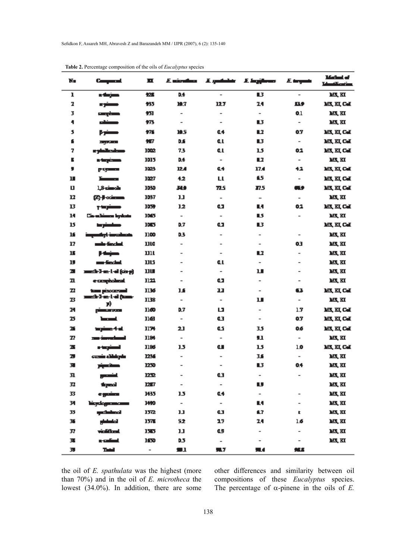| N.           | Company of                               | ш                        | E virulus                    |                          | E. godinkir - E. Ingijkovos | E trynt                      | Mathal of<br><b>Manifestine</b> |
|--------------|------------------------------------------|--------------------------|------------------------------|--------------------------|-----------------------------|------------------------------|---------------------------------|
| ı            | n değen                                  | 12.5                     | D.4                          | $\overline{\phantom{a}}$ | в                           |                              | MS, KI                          |
| 2            | مسنوء                                    | 435                      | И.7                          | 127                      | 24                          | вэ                           | MX, KI, Cal                     |
| 3            | <b>Europhane</b>                         | 忉                        | $\overline{\phantom{a}}$     | $\overline{\phantom{a}}$ | $\overline{\phantom{a}}$    | 0.1                          | M, KI                           |
| ٠            | مستقد                                    | ¥73                      | $\overline{\phantom{a}}$     | $\overline{\phantom{a}}$ | B                           | $\overline{\phantom{a}}$     | M, KI                           |
| 5            | مسنوع                                    | 光                        | <b>HS</b>                    | 44                       | L.                          | 0.7                          | MX, KI, Cal                     |
| f            | <b>Programme</b>                         | 虾                        | D.S                          | Œ.                       | B                           | $\overline{\phantom{a}}$     | MX, KI, Cal                     |
| 7            | e sinikodom-                             | 1002                     | 73                           | Œ.                       | 15                          | 0.2                          | M, KL CJ                        |
| Б            | n taşiman                                | 1015                     | D.4                          | $\overline{\phantom{a}}$ | 87                          | $\overline{\phantom{a}}$     | M, KI                           |
| ,            | <b>Parties Comment</b>                   | 1023                     | 12.4                         | Q4                       | 17.4                        | 42                           | M, KL CJ                        |
| Ш            | <u>ransa</u>                             | 1027                     | 42                           | LL                       | 65                          | $\overline{\phantom{a}}$     | MX, KI, Cal                     |
| Ц            | 1,8-cimols                               | 1030                     | 319                          | 72.5                     | 17.5                        | Œ۶                           | MX, KI, Cal                     |
| 17           | <b>Co-frommer</b>                        | 1037                     | 11                           | $\overline{\phantom{a}}$ | $\overline{\phantom{a}}$    | $\overline{\phantom{a}}$     | M, KI                           |
| 13           | مستجدع                                   | 1059                     | 12                           | œ                        | м                           | 0.1                          | MX, KI, Cai                     |
| 14           | Circultinum bydants                      | 1003                     | $\overline{\phantom{a}}$     | $\overline{\phantom{a}}$ | L5                          | $\overline{\phantom{a}}$     | M, KI                           |
| 15           | مستسترها                                 | 1065                     | 0.7                          | œ                        | В                           |                              | M, KL CJ                        |
| ĸ            | atlışl <del>ı imrailmatı</del> s         | 1100                     | D3                           | $\overline{\phantom{a}}$ | $\overline{\phantom{a}}$    | $\overline{\phantom{a}}$     | M, KI                           |
| 17           | mile findal.                             | 1110                     | $\overline{\phantom{a}}$     | $\overline{\phantom{a}}$ | $\overline{\phantom{a}}$    | 63                           | M, KI                           |
| 15           | <b>Heim</b>                              | ווע                      | $\overline{\phantom{a}}$     | $\overline{\phantom{a}}$ | L7                          | $\overline{\phantom{a}}$     | M, KI                           |
| IJ           | una-findad.                              | טע                       | $\overline{\phantom{a}}$     | Œ.                       | $\overline{\phantom{a}}$    | $\overline{\phantom{a}}$     | M, KI                           |
| л            | annath-1-an-l-ail (còrp)                 | שננ                      | $\qquad \qquad \blacksquare$ | $\overline{\phantom{a}}$ | п                           | $\overline{\phantom{a}}$     | M, KI                           |
| n            | e rangiolinai.                           | 1122                     | $\overline{\phantom{a}}$     | œ                        | $\overline{\phantom{a}}$    | $\overline{\phantom{a}}$     | M, KI                           |
| $\mathbf{r}$ | tem piscoveni<br>annach-3-an-1-al (hann- | 1136                     | 14                           | 33                       | $\overline{\phantom{a}}$    | 63                           | MX, KI, Cal                     |
| B            | F)                                       | 1138                     | $\overline{\phantom{a}}$     | $\overline{\phantom{a}}$ | ப                           | $\overline{\phantom{a}}$     | M, KI                           |
| M            | <b>Communication</b>                     | 1160                     | 0.7                          | ш                        | $\overline{\phantom{a}}$    | 1.7                          | MX, KI, Cal                     |
| 25           | استط                                     | 1163                     | $\overline{\phantom{a}}$     | Œ                        | $\overline{\phantom{a}}$    | 0.7                          | M, KL CJ                        |
| 26           | tagångs 4 al.                            | 1174                     | 21                           | Œ.                       | 35                          | 06                           | MX, KI, Cal                     |
| 77           | <u>nas investment</u>                    | 1184                     | $\overline{\phantom{a}}$     | $\overline{\phantom{a}}$ | u                           | $\overline{\phantom{a}}$     | M, KI                           |
| ж            | استرت                                    | 1186                     | 15                           | ω                        | 15                          | 1.0                          | M, KL CJ                        |
| ъ            | conin dilabela                           | 1256                     | $\overline{\phantom{a}}$     | $\overline{\phantom{a}}$ | 3.6                         | $\overline{\phantom{a}}$     | M, KI                           |
| 彈            | مستحجز                                   | 1250                     | -                            | -                        | L3                          | 04                           | M, KI                           |
| 31           | الشمعير                                  | 1232                     |                              | Œ                        | -                           |                              | MS, KI                          |
| 32           | tique).                                  | 12.7                     | $\overline{\phantom{0}}$     | $\overline{\phantom{a}}$ | υ                           |                              | MX, KI                          |
| 33           | مشبره                                    | 1435                     | 15                           | Q4                       | $\overline{\phantom{a}}$    | $\qquad \qquad \blacksquare$ | MS, KI                          |
| 34           | hioyologuumomm                           | 1490                     | $\overline{\phantom{a}}$     | $\overline{\phantom{a}}$ | L4                          |                              | MS, KI                          |
| 35           | لمططمي                                   | 1572                     | IJ                           | Œ                        | 67                          | t.                           | M, KI                           |
| 36           | المتستطير                                | 1575                     | 52                           | 17                       | 24                          | 1.6                          | M, KI                           |
| 37           | violifical                               | 1365                     | IJ                           | Œ,                       | $\overline{\phantom{a}}$    | $\overline{\phantom{a}}$     | MS, KI                          |
| 蓮            | a-calimi                                 | 160                      | 0.5                          | $\overline{\phantom{a}}$ | $\overline{\phantom{0}}$    | $\qquad \qquad =$            | M, KI                           |
| 39           | Tatal                                    | $\overline{\phantom{a}}$ | 91                           | 51.7                     | ж                           | 光工                           |                                 |

**Table 2.** Percentage composition of the oils of *Eucalyptus* species

the oil of *E. spathulata* was the highest (more than 70%) and in the oil of *E. microtheca* the lowest (34.0%). In addition, there are some

other differences and similarity between oil compositions of these *Eucalyptus* species. The percentage of  $\alpha$ -pinene in the oils of *E*.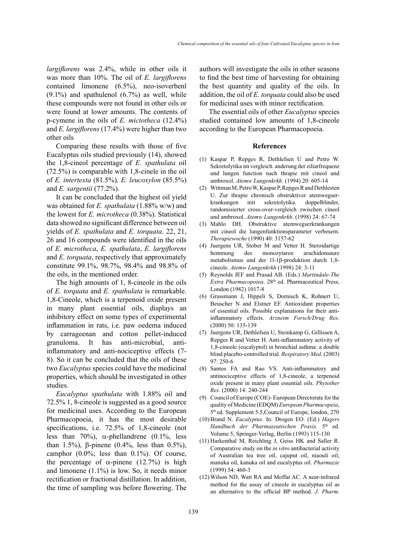*largiflorens* was 2.4%, while in other oils it was more than 10%. The oil of *E. largiflorens*  contained limonene (6.5%), neo-isoverbenl  $(9.1\%)$  and spathulenol  $(6.7\%)$  as well, while these compounds were not found in other oils or were found at lower amounts. The contents of p-cymene in the oils of *E. mictotheca* (12.4%) and *E. largiflorens* (17.4%) were higher than two other oils

Comparing these results with those of five Eucalyptus oils studied previously (14), showed the 1,8-cineol percentage of *E. spathulata* oil (72.5%) is comparable with 1,8-cinele in the oil of *E. intertexta* (81.5%)*, E. leucoxylon* (85.5%) and *E. sargentii* (77.2%).

It can be concluded that the highest oil yield was obtained for *E. spathulata* (1.88% w/w) and the lowest for *E. microtheca* (0.38%). Statistical data showed no significant difference between oil yields of *E. spathulata* and *E. torquata*. 22, 21, 26 and 16 compounds were identified in the oils of *E. microtheca*, *E. spathulata*, *E. largiflorens*  and *E. torquata*, respectively that approximately constitute 99.1%, 98.7%, 98.4% and 98.8% of the oils, in the mentioned order.

The high amounts of 1, 8-cineole in the oils of *E. torquata* and *E. spathulata* is remarkable. 1,8-Cineole, which is a terpenoid oxide present in many plant essential oils, displays an inhibitory effect on some types of experimental inflammation in rats, i.e. paw oedema induced by carrageenan and cotton pellet-induced granuloma. It has anti-microbial, antiinflammatory and anti-nociceptive effects (7- 8). So it can be concluded that the oils of these two *Eucalyptus* species could have the medicinal properties, which should be investigated in other studies.

*Eucalyptus spathulata* with 1.88% oil and 72.5% 1, 8-cineole is suggested as a good source for medicinal uses. According to the European Pharmacopoeia, it has the most desirable specifications, i.e. 72.5% of 1,8-cineole (not less than 70%),  $\alpha$ -phellandrene (0.1%, less than 1.5%), β-pinene (0.4%, less than 0.5%), camphor  $(0.0\%;$  less than  $0.1\%$ ). Of course, the percentage of  $\alpha$ -pinene (12.7%) is high and limonene (1.1%) is low. So, it needs minor rectification or fractional distillation. In addition, the time of sampling was before flowering. The

authors will investigate the oils in other seasons to find the best time of harvesting for obtaining the best quantity and quality of the oils. In addition, the oil of *E. torquata* could also be used for medicinal uses with minor rectification.

The essential oils of other *Eucalyptus* species studied contained low amounts of 1,8-cineole according to the European Pharmacopoeia.

#### **References**

- (1) Kaspar P, Repges R, Dethlefsen U and Petro W. Sekretolytika im vergleich. anderung der ziliarfrequenz und lungen function nach thrapie mit cineol und ambroxol. *Atemw Lungenkrkh*. (1994) 20: 605-14
- Wittman M, Petro W, Kaspar P, Repges R and Dethlesten (2) U. Zur thrapie chronisch obstruktiver atemwegserkrankungen mit sekretolytika. doppelblinder, randomisierter cross-over-vergleich zwischen cineol und ambroxol. *Atemw Lungenkrkh.* (1998) 24: 67-74
- (3) Mahlo DH. Obstruktive atemwegserkrankungen mit cineol die lungenfunktionsparameter verbesern. *Therapiewoche* (1990) 40: 3157-62
- Juergens UR, Stober M and Vetter H. Steroidartige (4) hemmung des monozytaren arachidonsaure metabolismus und der 1l-1β-produktion durch 1,8 cineole. *Atemw Lungenkrkh* (1998) 24: 3-11
- Reynolds JEF and Prasad AB. (Eds.) *Martindale-The*  (5) *Extra Pharmacopoiea*. 28<sup>th</sup> ed. Pharmaceutical Press, London (1982) 1017-8
- Grassmann J, Hippeli S, Dornisch K, Rohnert U, (6) Beuscher N and Elstner EF. Antioxidant properties of essential oils. Possible explanations for their antiinflammatory effects. *Arzneim Forsch/Drug Res*. (2000) 50: 135-139
- (7) Juergens UR, Dethlefsen U, Steinkamp G, Gillissen A, Repges R and Vetter H. Anti-inflammatory activity of 1,8-cineole (eucalyptol) in bronchial asthma: a double blind placebo-controlled trial. *Respiratory Med*. (2003) 97: 250-6
- Santos FA and Rao VS. Anti-inflammatory and (8) antinociceptive effects of 1,8-cineole, a terpenoid oxide present in many plant essential oils. *Phytother Res.* (2000) 14: 240-244
- (9) Council of Europe (COE)- European Directorate for the quality of Medicine (EDQM) *European Pharmacopeia*, 5th ed. Supplement 5.5,Council of Europe, london, 270
- Brand N. *Eucalyptus*. In: Drogen EO. (Ed.) *Hagers*  (10) Handbuch der Pharmazeutischen Praxis. 5<sup>th</sup> ed. Volume 5, Springer-Verlag, Berlin (1993) 115-130
- $(11)$  Harkenthal M, Reichling J, Geiss HK and Saller R. Comparative study on the *in vitro* antibacterial activity of Australian tea tree oil, cajuput oil, niaouli oil, manuka oil, kanuka oil and eucalyptus oil. *Pharmazie* (1999) 54: 460-3
- Wilson ND, Watt RA and Moffat AC. A near-infrared (12) method for the assay of cineole in eucalyptus oil as an alternative to the official BP method. *J. Pharm.*